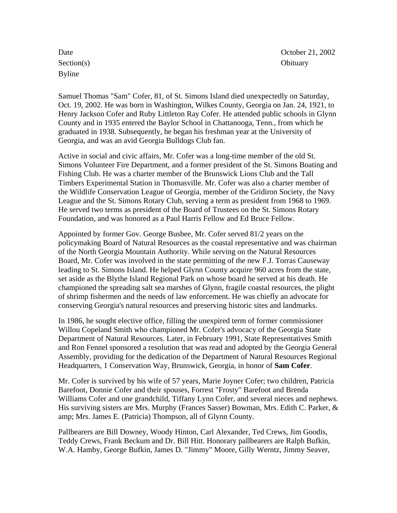Section(s) Obituary Byline

Date **Date** October 21, 2002

Samuel Thomas "Sam" Cofer, 81, of St. Simons Island died unexpectedly on Saturday, Oct. 19, 2002. He was born in Washington, Wilkes County, Georgia on Jan. 24, 1921, to Henry Jackson Cofer and Ruby Littleton Ray Cofer. He attended public schools in Glynn County and in 1935 entered the Baylor School in Chattanooga, Tenn., from which he graduated in 1938. Subsequently, he began his freshman year at the University of Georgia, and was an avid Georgia Bulldogs Club fan.

Active in social and civic affairs, Mr. Cofer was a long-time member of the old St. Simons Volunteer Fire Department, and a former president of the St. Simons Boating and Fishing Club. He was a charter member of the Brunswick Lions Club and the Tall Timbers Experimental Station in Thomasville. Mr. Cofer was also a charter member of the Wildlife Conservation League of Georgia, member of the Gridiron Society, the Navy League and the St. Simons Rotary Club, serving a term as president from 1968 to 1969. He served two terms as president of the Board of Trustees on the St. Simons Rotary Foundation, and was honored as a Paul Harris Fellow and Ed Bruce Fellow.

Appointed by former Gov. George Busbee, Mr. Cofer served 81/2 years on the policymaking Board of Natural Resources as the coastal representative and was chairman of the North Georgia Mountain Authority. While serving on the Natural Resources Board, Mr. Cofer was involved in the state permitting of the new F.J. Torras Causeway leading to St. Simons Island. He helped Glynn County acquire 960 acres from the state, set aside as the Blythe Island Regional Park on whose board he served at his death. He championed the spreading salt sea marshes of Glynn, fragile coastal resources, the plight of shrimp fishermen and the needs of law enforcement. He was chiefly an advocate for conserving Georgia's natural resources and preserving historic sites and landmarks.

In 1986, he sought elective office, filling the unexpired term of former commissioner Willou Copeland Smith who championed Mr. Cofer's advocacy of the Georgia State Department of Natural Resources. Later, in February 1991, State Representatives Smith and Ron Fennel sponsored a resolution that was read and adopted by the Georgia General Assembly, providing for the dedication of the Department of Natural Resources Regional Headquarters, 1 Conservation Way, Brunswick, Georgia, in honor of **Sam Cofer**.

Mr. Cofer is survived by his wife of 57 years, Marie Joyner Cofer; two children, Patricia Barefoot, Donnie Cofer and their spouses, Forrest "Frosty" Barefoot and Brenda Williams Cofer and one grandchild, Tiffany Lynn Cofer, and several nieces and nephews. His surviving sisters are Mrs. Murphy (Frances Sasser) Bowman, Mrs. Edith C. Parker, & amp; Mrs. James E. (Patricia) Thompson, all of Glynn County.

Pallbearers are Bill Downey, Woody Hinton, Carl Alexander, Ted Crews, Jim Goodis, Teddy Crews, Frank Beckum and Dr. Bill Hitt. Honorary pallbearers are Ralph Bufkin, W.A. Hamby, George Bufkin, James D. "Jimmy" Moore, Gilly Werntz, Jimmy Seaver,